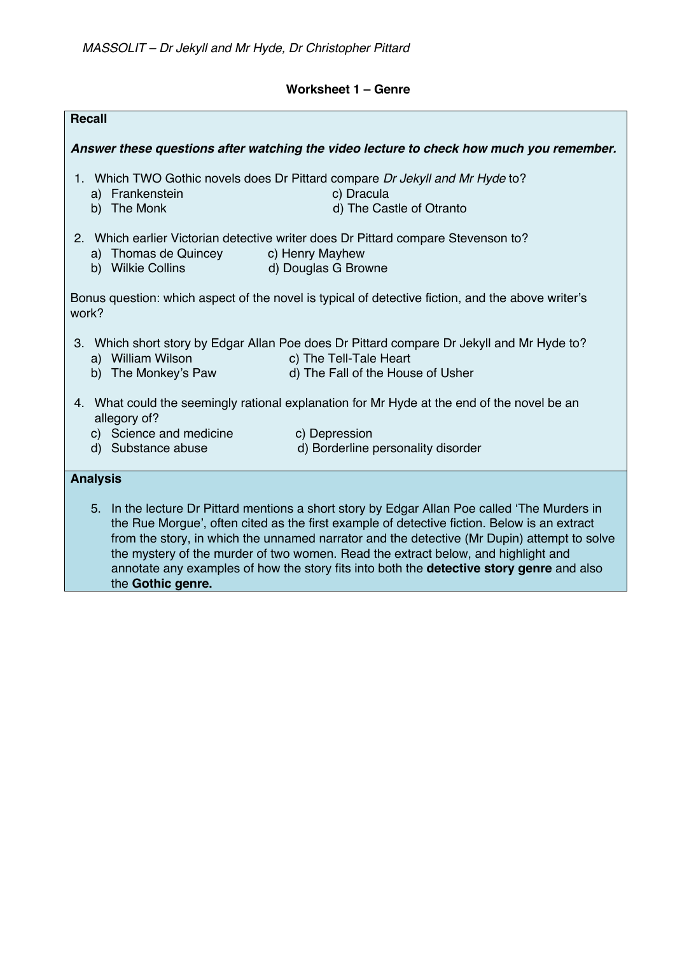## **Worksheet 1 – Genre**

| <b>Recall</b>                                                                                                                                                                                                                                                                                                                                                                                                                                                                                            |                                                                                |                                                                                                                                                          |
|----------------------------------------------------------------------------------------------------------------------------------------------------------------------------------------------------------------------------------------------------------------------------------------------------------------------------------------------------------------------------------------------------------------------------------------------------------------------------------------------------------|--------------------------------------------------------------------------------|----------------------------------------------------------------------------------------------------------------------------------------------------------|
| Answer these questions after watching the video lecture to check how much you remember.                                                                                                                                                                                                                                                                                                                                                                                                                  |                                                                                |                                                                                                                                                          |
|                                                                                                                                                                                                                                                                                                                                                                                                                                                                                                          | a) Frankenstein<br>b) The Monk                                                 | 1. Which TWO Gothic novels does Dr Pittard compare Dr Jekyll and Mr Hyde to?<br>c) Dracula<br>d) The Castle of Otranto                                   |
|                                                                                                                                                                                                                                                                                                                                                                                                                                                                                                          | a) Thomas de Quincey c) Henry Mayhew<br>b) Wilkie Collins (b) Douglas G Browne | 2. Which earlier Victorian detective writer does Dr Pittard compare Stevenson to?                                                                        |
| Bonus question: which aspect of the novel is typical of detective fiction, and the above writer's<br>work?                                                                                                                                                                                                                                                                                                                                                                                               |                                                                                |                                                                                                                                                          |
|                                                                                                                                                                                                                                                                                                                                                                                                                                                                                                          | a) William Wilson<br>b) The Monkey's Paw                                       | 3. Which short story by Edgar Allan Poe does Dr Pittard compare Dr Jekyll and Mr Hyde to?<br>c) The Tell-Tale Heart<br>d) The Fall of the House of Usher |
| 4. What could the seemingly rational explanation for Mr Hyde at the end of the novel be an<br>allegory of?                                                                                                                                                                                                                                                                                                                                                                                               |                                                                                |                                                                                                                                                          |
|                                                                                                                                                                                                                                                                                                                                                                                                                                                                                                          | c) Science and medicine<br>d) Substance abuse                                  | c) Depression<br>d) Borderline personality disorder                                                                                                      |
| <b>Analysis</b>                                                                                                                                                                                                                                                                                                                                                                                                                                                                                          |                                                                                |                                                                                                                                                          |
| 5. In the lecture Dr Pittard mentions a short story by Edgar Allan Poe called 'The Murders in<br>the Rue Morgue', often cited as the first example of detective fiction. Below is an extract<br>from the story, in which the unnamed narrator and the detective (Mr Dupin) attempt to solve<br>the mystery of the murder of two women. Read the extract below, and highlight and<br>annotate any examples of how the story fits into both the <b>detective story genre</b> and also<br>the Gothic genre. |                                                                                |                                                                                                                                                          |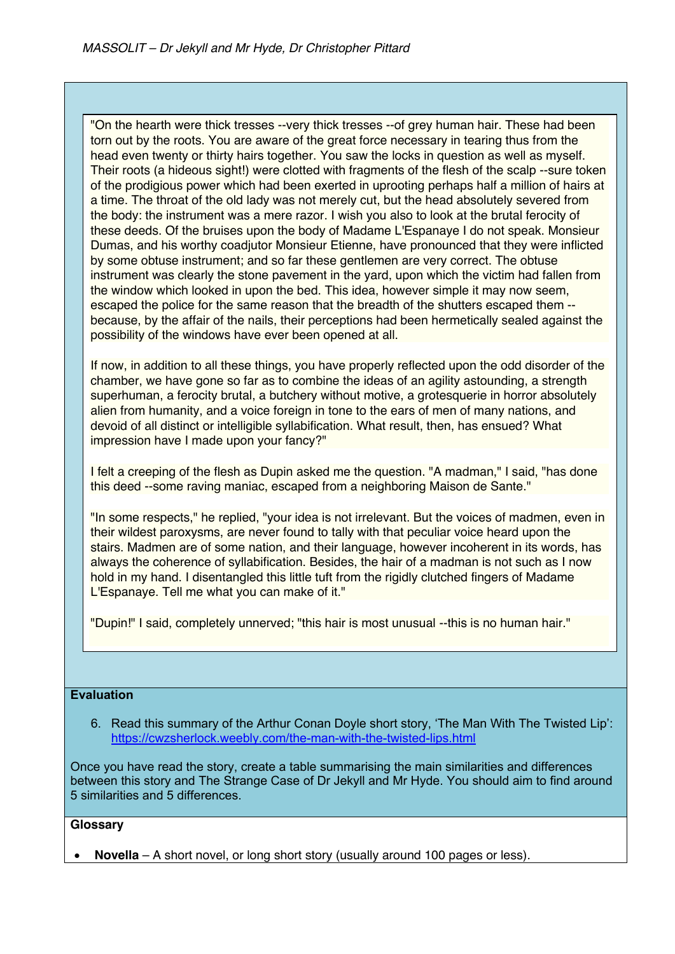"On the hearth were thick tresses --very thick tresses --of grey human hair. These had been torn out by the roots. You are aware of the great force necessary in tearing thus from the head even twenty or thirty hairs together. You saw the locks in question as well as myself. Their roots (a hideous sight!) were clotted with fragments of the flesh of the scalp --sure token of the prodigious power which had been exerted in uprooting perhaps half a million of hairs at a time. The throat of the old lady was not merely cut, but the head absolutely severed from the body: the instrument was a mere razor. I wish you also to look at the brutal ferocity of these deeds. Of the bruises upon the body of Madame L'Espanaye I do not speak. Monsieur Dumas, and his worthy coadjutor Monsieur Etienne, have pronounced that they were inflicted by some obtuse instrument; and so far these gentlemen are very correct. The obtuse instrument was clearly the stone pavement in the yard, upon which the victim had fallen from the window which looked in upon the bed. This idea, however simple it may now seem, escaped the police for the same reason that the breadth of the shutters escaped them - because, by the affair of the nails, their perceptions had been hermetically sealed against the possibility of the windows have ever been opened at all.

If now, in addition to all these things, you have properly reflected upon the odd disorder of the chamber, we have gone so far as to combine the ideas of an agility astounding, a strength superhuman, a ferocity brutal, a butchery without motive, a grotesquerie in horror absolutely alien from humanity, and a voice foreign in tone to the ears of men of many nations, and devoid of all distinct or intelligible syllabification. What result, then, has ensued? What impression have I made upon your fancy?"

I felt a creeping of the flesh as Dupin asked me the question. "A madman," I said, "has done this deed --some raving maniac, escaped from a neighboring Maison de Sante."

"In some respects," he replied, "your idea is not irrelevant. But the voices of madmen, even in their wildest paroxysms, are never found to tally with that peculiar voice heard upon the stairs. Madmen are of some nation, and their language, however incoherent in its words, has always the coherence of syllabification. Besides, the hair of a madman is not such as I now hold in my hand. I disentangled this little tuft from the rigidly clutched fingers of Madame L'Espanaye. Tell me what you can make of it."

"Dupin!" I said, completely unnerved; "this hair is most unusual --this is no human hair."

## **Evaluation**

6. Read this summary of the Arthur Conan Doyle short story, 'The Man With The Twisted Lip': https://cwzsherlock.weebly.com/the-man-with-the-twisted-lips.html

Once you have read the story, create a table summarising the main similarities and differences between this story and The Strange Case of Dr Jekyll and Mr Hyde. You should aim to find around 5 similarities and 5 differences.

## **Glossary**

• **Novella** – A short novel, or long short story (usually around 100 pages or less).